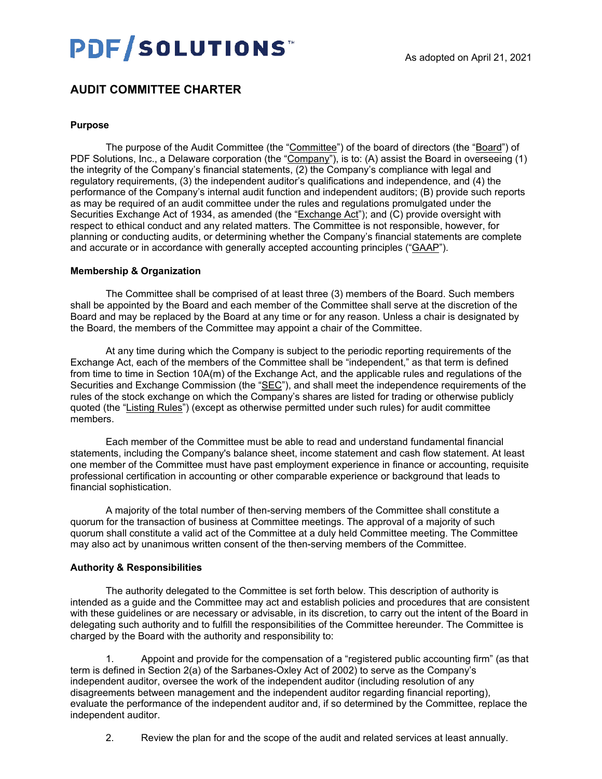# PDF/SOLUTIONS

## **AUDIT COMMITTEE CHARTER**

#### **Purpose**

The purpose of the Audit Committee (the "Committee") of the board of directors (the "Board") of PDF Solutions, Inc., a Delaware corporation (the "Company"), is to: (A) assist the Board in overseeing (1) the integrity of the Company's financial statements, (2) the Company's compliance with legal and regulatory requirements, (3) the independent auditor's qualifications and independence, and (4) the performance of the Company's internal audit function and independent auditors; (B) provide such reports as may be required of an audit committee under the rules and regulations promulgated under the Securities Exchange Act of 1934, as amended (the "Exchange Act"); and (C) provide oversight with respect to ethical conduct and any related matters. The Committee is not responsible, however, for planning or conducting audits, or determining whether the Company's financial statements are complete and accurate or in accordance with generally accepted accounting principles ("GAAP").

#### **Membership & Organization**

The Committee shall be comprised of at least three (3) members of the Board. Such members shall be appointed by the Board and each member of the Committee shall serve at the discretion of the Board and may be replaced by the Board at any time or for any reason. Unless a chair is designated by the Board, the members of the Committee may appoint a chair of the Committee.

At any time during which the Company is subject to the periodic reporting requirements of the Exchange Act, each of the members of the Committee shall be "independent," as that term is defined from time to time in Section 10A(m) of the Exchange Act, and the applicable rules and regulations of the Securities and Exchange Commission (the "SEC"), and shall meet the independence requirements of the rules of the stock exchange on which the Company's shares are listed for trading or otherwise publicly quoted (the "Listing Rules") (except as otherwise permitted under such rules) for audit committee members.

Each member of the Committee must be able to read and understand fundamental financial statements, including the Company's balance sheet, income statement and cash flow statement. At least one member of the Committee must have past employment experience in finance or accounting, requisite professional certification in accounting or other comparable experience or background that leads to financial sophistication.

A majority of the total number of then-serving members of the Committee shall constitute a quorum for the transaction of business at Committee meetings. The approval of a majority of such quorum shall constitute a valid act of the Committee at a duly held Committee meeting. The Committee may also act by unanimous written consent of the then-serving members of the Committee.

#### **Authority & Responsibilities**

The authority delegated to the Committee is set forth below. This description of authority is intended as a guide and the Committee may act and establish policies and procedures that are consistent with these guidelines or are necessary or advisable, in its discretion, to carry out the intent of the Board in delegating such authority and to fulfill the responsibilities of the Committee hereunder. The Committee is charged by the Board with the authority and responsibility to:

Appoint and provide for the compensation of a "registered public accounting firm" (as that term is defined in Section 2(a) of the Sarbanes-Oxley Act of 2002) to serve as the Company's independent auditor, oversee the work of the independent auditor (including resolution of any disagreements between management and the independent auditor regarding financial reporting), evaluate the performance of the independent auditor and, if so determined by the Committee, replace the independent auditor.

2. Review the plan for and the scope of the audit and related services at least annually.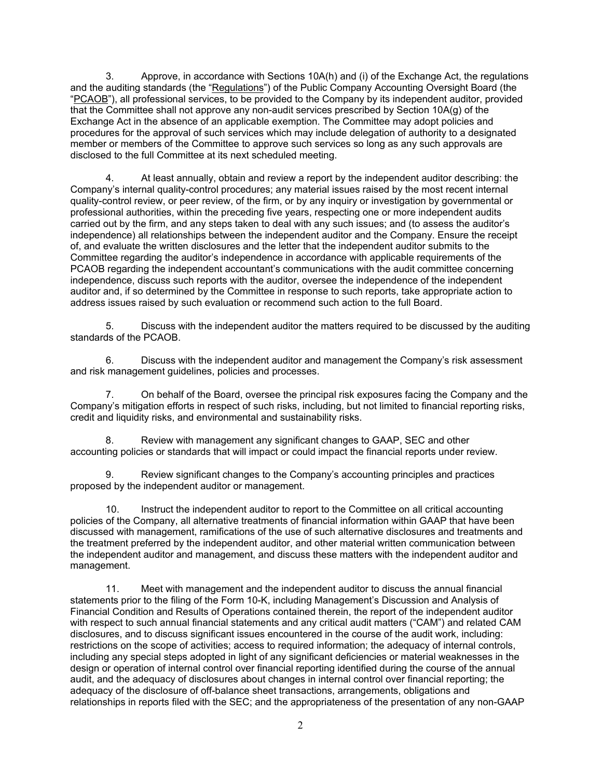3. Approve, in accordance with Sections 10A(h) and (i) of the Exchange Act, the regulations and the auditing standards (the "Regulations") of the Public Company Accounting Oversight Board (the "PCAOB"), all professional services, to be provided to the Company by its independent auditor, provided that the Committee shall not approve any non-audit services prescribed by Section 10A(g) of the Exchange Act in the absence of an applicable exemption. The Committee may adopt policies and procedures for the approval of such services which may include delegation of authority to a designated member or members of the Committee to approve such services so long as any such approvals are disclosed to the full Committee at its next scheduled meeting.

4. At least annually, obtain and review a report by the independent auditor describing: the Company's internal quality-control procedures; any material issues raised by the most recent internal quality-control review, or peer review, of the firm, or by any inquiry or investigation by governmental or professional authorities, within the preceding five years, respecting one or more independent audits carried out by the firm, and any steps taken to deal with any such issues; and (to assess the auditor's independence) all relationships between the independent auditor and the Company. Ensure the receipt of, and evaluate the written disclosures and the letter that the independent auditor submits to the Committee regarding the auditor's independence in accordance with applicable requirements of the PCAOB regarding the independent accountant's communications with the audit committee concerning independence, discuss such reports with the auditor, oversee the independence of the independent auditor and, if so determined by the Committee in response to such reports, take appropriate action to address issues raised by such evaluation or recommend such action to the full Board.

5. Discuss with the independent auditor the matters required to be discussed by the auditing standards of the PCAOB.

6. Discuss with the independent auditor and management the Company's risk assessment and risk management guidelines, policies and processes.

7. On behalf of the Board, oversee the principal risk exposures facing the Company and the Company's mitigation efforts in respect of such risks, including, but not limited to financial reporting risks, credit and liquidity risks, and environmental and sustainability risks.

8. Review with management any significant changes to GAAP, SEC and other accounting policies or standards that will impact or could impact the financial reports under review.

9. Review significant changes to the Company's accounting principles and practices proposed by the independent auditor or management.

10. Instruct the independent auditor to report to the Committee on all critical accounting policies of the Company, all alternative treatments of financial information within GAAP that have been discussed with management, ramifications of the use of such alternative disclosures and treatments and the treatment preferred by the independent auditor, and other material written communication between the independent auditor and management, and discuss these matters with the independent auditor and management.

11. Meet with management and the independent auditor to discuss the annual financial statements prior to the filing of the Form 10-K, including Management's Discussion and Analysis of Financial Condition and Results of Operations contained therein, the report of the independent auditor with respect to such annual financial statements and any critical audit matters ("CAM") and related CAM disclosures, and to discuss significant issues encountered in the course of the audit work, including: restrictions on the scope of activities; access to required information; the adequacy of internal controls, including any special steps adopted in light of any significant deficiencies or material weaknesses in the design or operation of internal control over financial reporting identified during the course of the annual audit, and the adequacy of disclosures about changes in internal control over financial reporting; the adequacy of the disclosure of off-balance sheet transactions, arrangements, obligations and relationships in reports filed with the SEC; and the appropriateness of the presentation of any non-GAAP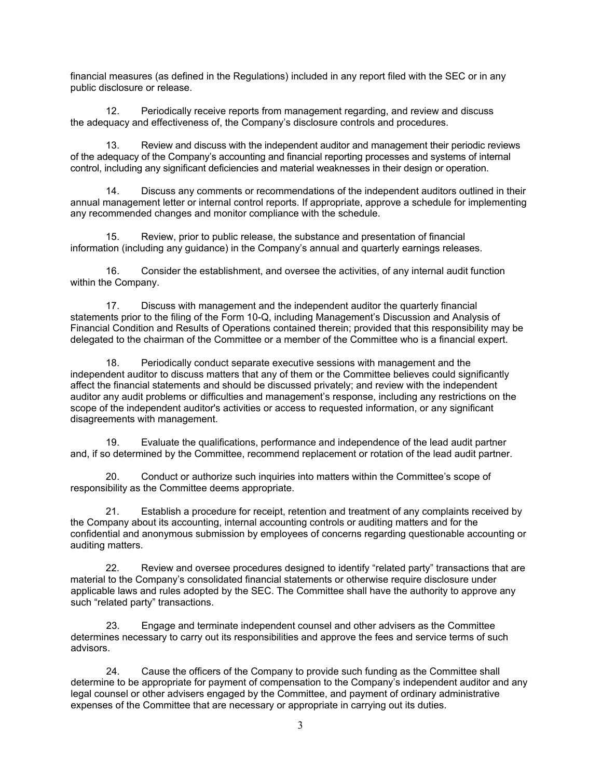financial measures (as defined in the Regulations) included in any report filed with the SEC or in any public disclosure or release.

12. Periodically receive reports from management regarding, and review and discuss the adequacy and effectiveness of, the Company's disclosure controls and procedures.

13. Review and discuss with the independent auditor and management their periodic reviews of the adequacy of the Company's accounting and financial reporting processes and systems of internal control, including any significant deficiencies and material weaknesses in their design or operation.

14. Discuss any comments or recommendations of the independent auditors outlined in their annual management letter or internal control reports. If appropriate, approve a schedule for implementing any recommended changes and monitor compliance with the schedule.

15. Review, prior to public release, the substance and presentation of financial information (including any guidance) in the Company's annual and quarterly earnings releases.

16. Consider the establishment, and oversee the activities, of any internal audit function within the Company.

17. Discuss with management and the independent auditor the quarterly financial statements prior to the filing of the Form 10-Q, including Management's Discussion and Analysis of Financial Condition and Results of Operations contained therein; provided that this responsibility may be delegated to the chairman of the Committee or a member of the Committee who is a financial expert.

18. Periodically conduct separate executive sessions with management and the independent auditor to discuss matters that any of them or the Committee believes could significantly affect the financial statements and should be discussed privately; and review with the independent auditor any audit problems or difficulties and management's response, including any restrictions on the scope of the independent auditor's activities or access to requested information, or any significant disagreements with management.

19. Evaluate the qualifications, performance and independence of the lead audit partner and, if so determined by the Committee, recommend replacement or rotation of the lead audit partner.

20. Conduct or authorize such inquiries into matters within the Committee's scope of responsibility as the Committee deems appropriate.

21. Establish a procedure for receipt, retention and treatment of any complaints received by the Company about its accounting, internal accounting controls or auditing matters and for the confidential and anonymous submission by employees of concerns regarding questionable accounting or auditing matters.

22. Review and oversee procedures designed to identify "related party" transactions that are material to the Company's consolidated financial statements or otherwise require disclosure under applicable laws and rules adopted by the SEC. The Committee shall have the authority to approve any such "related party" transactions.

23. Engage and terminate independent counsel and other advisers as the Committee determines necessary to carry out its responsibilities and approve the fees and service terms of such advisors.

24. Cause the officers of the Company to provide such funding as the Committee shall determine to be appropriate for payment of compensation to the Company's independent auditor and any legal counsel or other advisers engaged by the Committee, and payment of ordinary administrative expenses of the Committee that are necessary or appropriate in carrying out its duties.